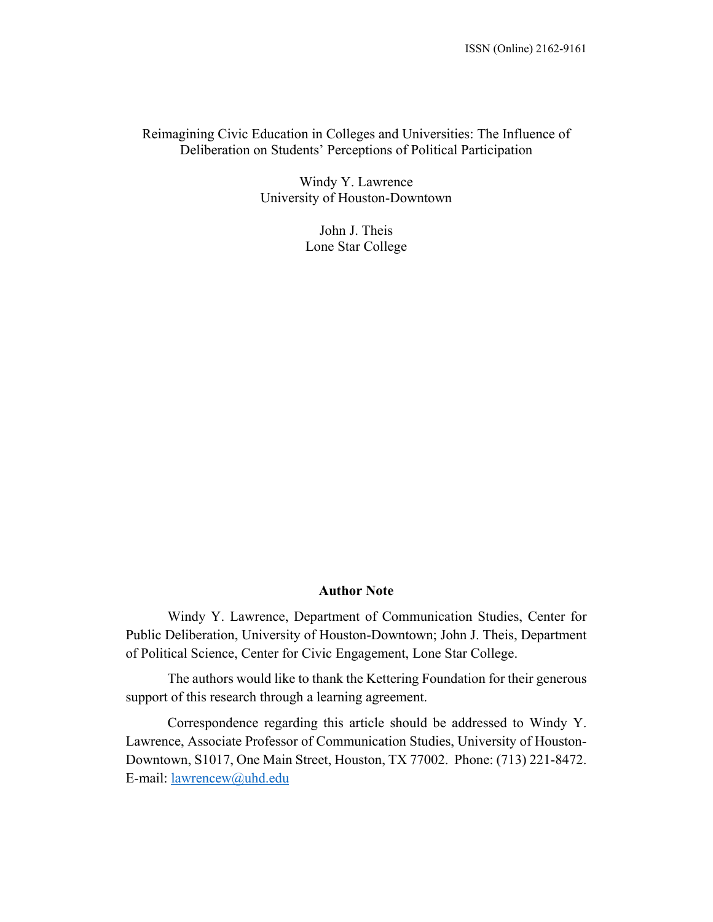## Reimagining Civic Education in Colleges and Universities: The Influence of Deliberation on Students' Perceptions of Political Participation

Windy Y. Lawrence University of Houston-Downtown

> John J. Theis Lone Star College

#### **Author Note**

Windy Y. Lawrence, Department of Communication Studies, Center for Public Deliberation, University of Houston-Downtown; John J. Theis, Department of Political Science, Center for Civic Engagement, Lone Star College.

The authors would like to thank the Kettering Foundation for their generous support of this research through a learning agreement.

Correspondence regarding this article should be addressed to Windy Y. Lawrence, Associate Professor of Communication Studies, University of Houston-Downtown, S1017, One Main Street, Houston, TX 77002. Phone: (713) 221-8472. E-mail: lawrencew@uhd.edu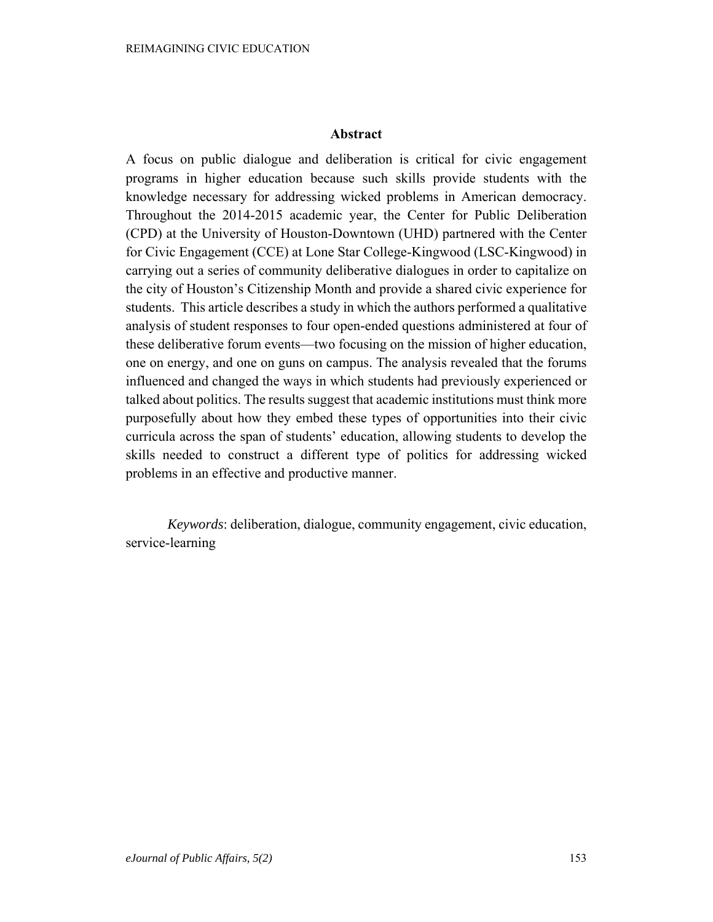### **Abstract**

A focus on public dialogue and deliberation is critical for civic engagement programs in higher education because such skills provide students with the knowledge necessary for addressing wicked problems in American democracy. Throughout the 2014-2015 academic year, the Center for Public Deliberation (CPD) at the University of Houston-Downtown (UHD) partnered with the Center for Civic Engagement (CCE) at Lone Star College-Kingwood (LSC-Kingwood) in carrying out a series of community deliberative dialogues in order to capitalize on the city of Houston's Citizenship Month and provide a shared civic experience for students. This article describes a study in which the authors performed a qualitative analysis of student responses to four open-ended questions administered at four of these deliberative forum events—two focusing on the mission of higher education, one on energy, and one on guns on campus. The analysis revealed that the forums influenced and changed the ways in which students had previously experienced or talked about politics. The results suggest that academic institutions must think more purposefully about how they embed these types of opportunities into their civic curricula across the span of students' education, allowing students to develop the skills needed to construct a different type of politics for addressing wicked problems in an effective and productive manner.

*Keywords*: deliberation, dialogue, community engagement, civic education, service-learning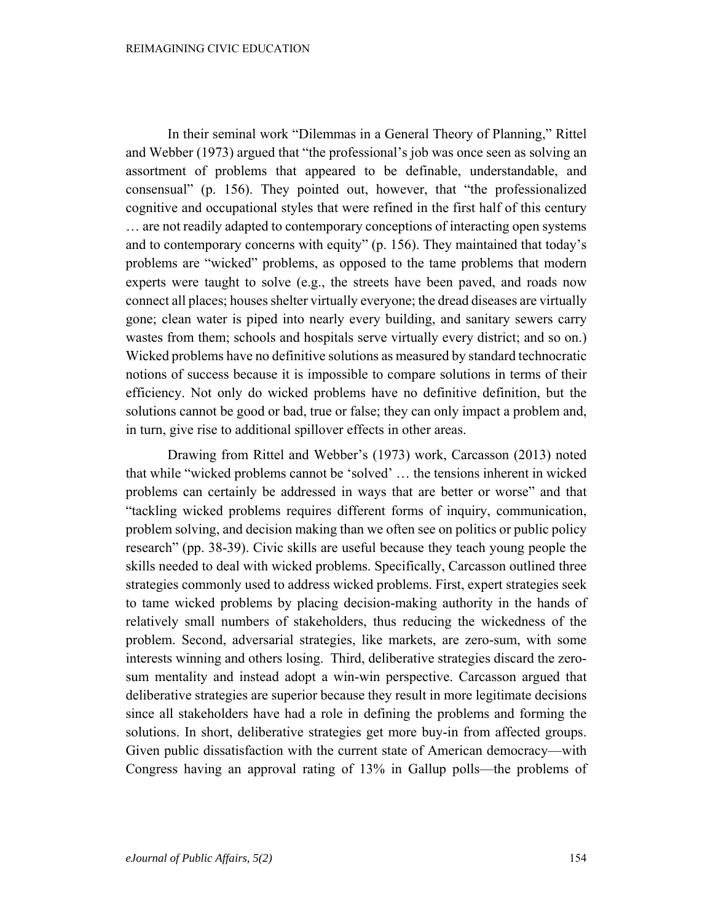In their seminal work "Dilemmas in a General Theory of Planning," Rittel and Webber (1973) argued that "the professional's job was once seen as solving an assortment of problems that appeared to be definable, understandable, and consensual" (p. 156). They pointed out, however, that "the professionalized cognitive and occupational styles that were refined in the first half of this century … are not readily adapted to contemporary conceptions of interacting open systems and to contemporary concerns with equity" (p. 156). They maintained that today's problems are "wicked" problems, as opposed to the tame problems that modern experts were taught to solve (e.g., the streets have been paved, and roads now connect all places; houses shelter virtually everyone; the dread diseases are virtually gone; clean water is piped into nearly every building, and sanitary sewers carry wastes from them; schools and hospitals serve virtually every district; and so on.) Wicked problems have no definitive solutions as measured by standard technocratic notions of success because it is impossible to compare solutions in terms of their efficiency. Not only do wicked problems have no definitive definition, but the solutions cannot be good or bad, true or false; they can only impact a problem and, in turn, give rise to additional spillover effects in other areas.

Drawing from Rittel and Webber's (1973) work, Carcasson (2013) noted that while "wicked problems cannot be 'solved' … the tensions inherent in wicked problems can certainly be addressed in ways that are better or worse" and that "tackling wicked problems requires different forms of inquiry, communication, problem solving, and decision making than we often see on politics or public policy research" (pp. 38-39). Civic skills are useful because they teach young people the skills needed to deal with wicked problems. Specifically, Carcasson outlined three strategies commonly used to address wicked problems. First, expert strategies seek to tame wicked problems by placing decision-making authority in the hands of relatively small numbers of stakeholders, thus reducing the wickedness of the problem. Second, adversarial strategies, like markets, are zero-sum, with some interests winning and others losing. Third, deliberative strategies discard the zerosum mentality and instead adopt a win-win perspective. Carcasson argued that deliberative strategies are superior because they result in more legitimate decisions since all stakeholders have had a role in defining the problems and forming the solutions. In short, deliberative strategies get more buy-in from affected groups. Given public dissatisfaction with the current state of American democracy—with Congress having an approval rating of 13% in Gallup polls—the problems of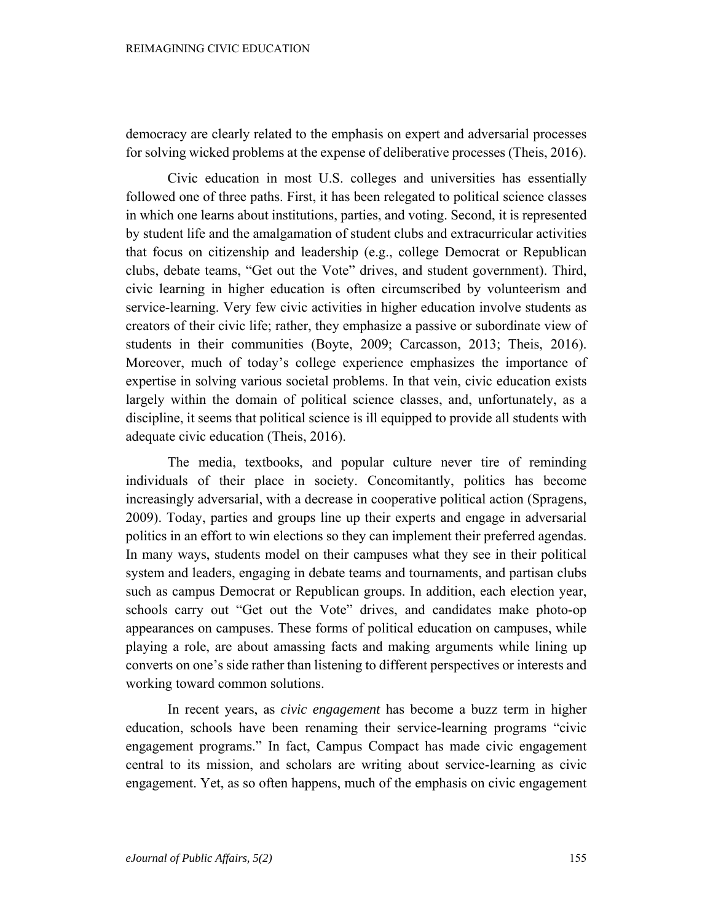democracy are clearly related to the emphasis on expert and adversarial processes for solving wicked problems at the expense of deliberative processes (Theis, 2016).

Civic education in most U.S. colleges and universities has essentially followed one of three paths. First, it has been relegated to political science classes in which one learns about institutions, parties, and voting. Second, it is represented by student life and the amalgamation of student clubs and extracurricular activities that focus on citizenship and leadership (e.g., college Democrat or Republican clubs, debate teams, "Get out the Vote" drives, and student government). Third, civic learning in higher education is often circumscribed by volunteerism and service-learning. Very few civic activities in higher education involve students as creators of their civic life; rather, they emphasize a passive or subordinate view of students in their communities (Boyte, 2009; Carcasson, 2013; Theis, 2016). Moreover, much of today's college experience emphasizes the importance of expertise in solving various societal problems. In that vein, civic education exists largely within the domain of political science classes, and, unfortunately, as a discipline, it seems that political science is ill equipped to provide all students with adequate civic education (Theis, 2016).

The media, textbooks, and popular culture never tire of reminding individuals of their place in society. Concomitantly, politics has become increasingly adversarial, with a decrease in cooperative political action (Spragens, 2009). Today, parties and groups line up their experts and engage in adversarial politics in an effort to win elections so they can implement their preferred agendas. In many ways, students model on their campuses what they see in their political system and leaders, engaging in debate teams and tournaments, and partisan clubs such as campus Democrat or Republican groups. In addition, each election year, schools carry out "Get out the Vote" drives, and candidates make photo-op appearances on campuses. These forms of political education on campuses, while playing a role, are about amassing facts and making arguments while lining up converts on one's side rather than listening to different perspectives or interests and working toward common solutions.

In recent years, as *civic engagement* has become a buzz term in higher education, schools have been renaming their service-learning programs "civic engagement programs." In fact, Campus Compact has made civic engagement central to its mission, and scholars are writing about service-learning as civic engagement. Yet, as so often happens, much of the emphasis on civic engagement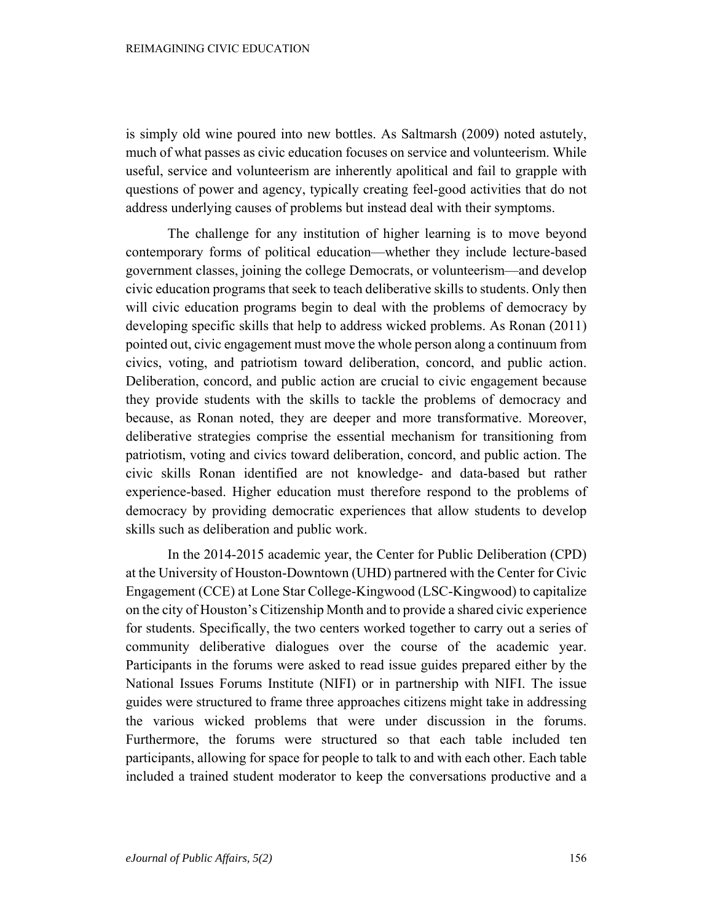is simply old wine poured into new bottles. As Saltmarsh (2009) noted astutely, much of what passes as civic education focuses on service and volunteerism. While useful, service and volunteerism are inherently apolitical and fail to grapple with questions of power and agency, typically creating feel-good activities that do not address underlying causes of problems but instead deal with their symptoms.

The challenge for any institution of higher learning is to move beyond contemporary forms of political education—whether they include lecture-based government classes, joining the college Democrats, or volunteerism—and develop civic education programs that seek to teach deliberative skills to students. Only then will civic education programs begin to deal with the problems of democracy by developing specific skills that help to address wicked problems. As Ronan (2011) pointed out, civic engagement must move the whole person along a continuum from civics, voting, and patriotism toward deliberation, concord, and public action. Deliberation, concord, and public action are crucial to civic engagement because they provide students with the skills to tackle the problems of democracy and because, as Ronan noted, they are deeper and more transformative. Moreover, deliberative strategies comprise the essential mechanism for transitioning from patriotism, voting and civics toward deliberation, concord, and public action. The civic skills Ronan identified are not knowledge- and data-based but rather experience-based. Higher education must therefore respond to the problems of democracy by providing democratic experiences that allow students to develop skills such as deliberation and public work.

In the 2014-2015 academic year, the Center for Public Deliberation (CPD) at the University of Houston-Downtown (UHD) partnered with the Center for Civic Engagement (CCE) at Lone Star College-Kingwood (LSC-Kingwood) to capitalize on the city of Houston's Citizenship Month and to provide a shared civic experience for students. Specifically, the two centers worked together to carry out a series of community deliberative dialogues over the course of the academic year. Participants in the forums were asked to read issue guides prepared either by the National Issues Forums Institute (NIFI) or in partnership with NIFI. The issue guides were structured to frame three approaches citizens might take in addressing the various wicked problems that were under discussion in the forums. Furthermore, the forums were structured so that each table included ten participants, allowing for space for people to talk to and with each other. Each table included a trained student moderator to keep the conversations productive and a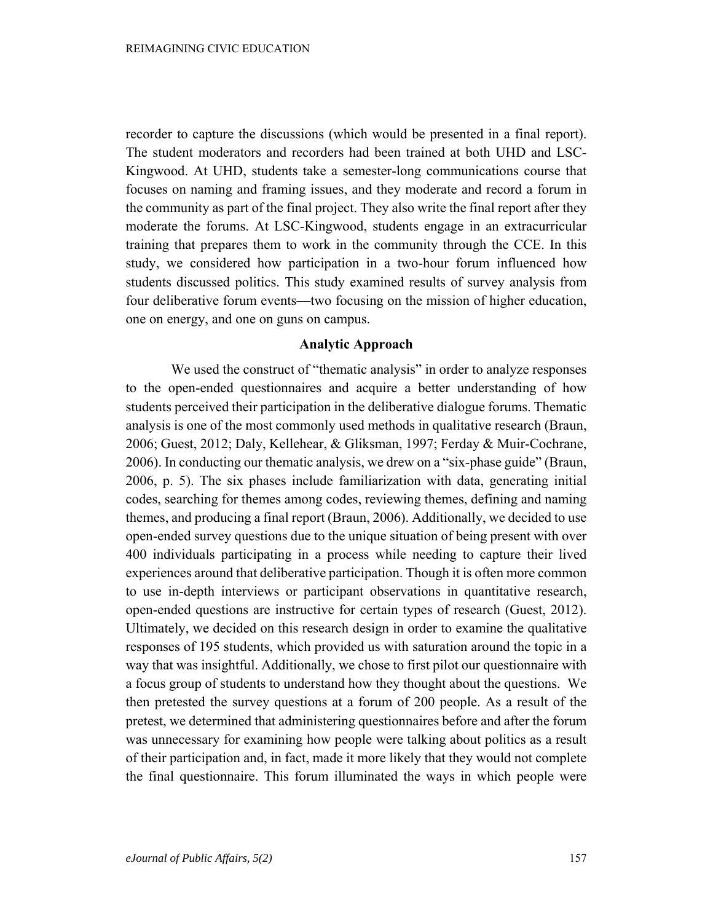recorder to capture the discussions (which would be presented in a final report). The student moderators and recorders had been trained at both UHD and LSC-Kingwood. At UHD, students take a semester-long communications course that focuses on naming and framing issues, and they moderate and record a forum in the community as part of the final project. They also write the final report after they moderate the forums. At LSC-Kingwood, students engage in an extracurricular training that prepares them to work in the community through the CCE. In this study, we considered how participation in a two-hour forum influenced how students discussed politics. This study examined results of survey analysis from four deliberative forum events—two focusing on the mission of higher education, one on energy, and one on guns on campus.

#### **Analytic Approach**

We used the construct of "thematic analysis" in order to analyze responses to the open-ended questionnaires and acquire a better understanding of how students perceived their participation in the deliberative dialogue forums. Thematic analysis is one of the most commonly used methods in qualitative research (Braun, 2006; Guest, 2012; Daly, Kellehear, & Gliksman, 1997; Ferday & Muir-Cochrane, 2006). In conducting our thematic analysis, we drew on a "six-phase guide" (Braun, 2006, p. 5). The six phases include familiarization with data, generating initial codes, searching for themes among codes, reviewing themes, defining and naming themes, and producing a final report (Braun, 2006). Additionally, we decided to use open-ended survey questions due to the unique situation of being present with over 400 individuals participating in a process while needing to capture their lived experiences around that deliberative participation. Though it is often more common to use in-depth interviews or participant observations in quantitative research, open-ended questions are instructive for certain types of research (Guest, 2012). Ultimately, we decided on this research design in order to examine the qualitative responses of 195 students, which provided us with saturation around the topic in a way that was insightful. Additionally, we chose to first pilot our questionnaire with a focus group of students to understand how they thought about the questions. We then pretested the survey questions at a forum of 200 people. As a result of the pretest, we determined that administering questionnaires before and after the forum was unnecessary for examining how people were talking about politics as a result of their participation and, in fact, made it more likely that they would not complete the final questionnaire. This forum illuminated the ways in which people were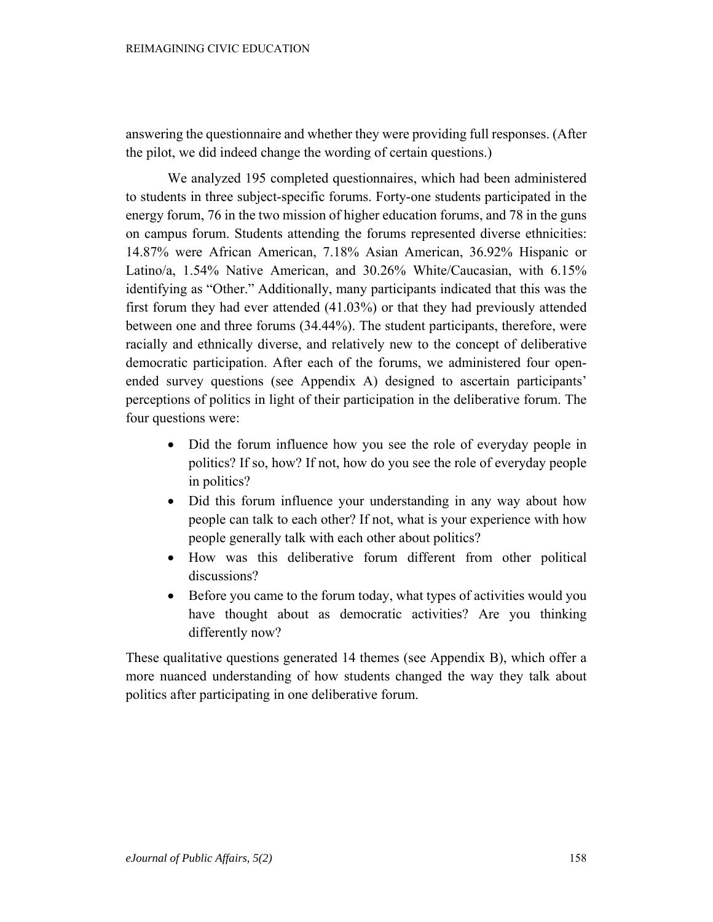answering the questionnaire and whether they were providing full responses. (After the pilot, we did indeed change the wording of certain questions.)

We analyzed 195 completed questionnaires, which had been administered to students in three subject-specific forums. Forty-one students participated in the energy forum, 76 in the two mission of higher education forums, and 78 in the guns on campus forum. Students attending the forums represented diverse ethnicities: 14.87% were African American, 7.18% Asian American, 36.92% Hispanic or Latino/a, 1.54% Native American, and 30.26% White/Caucasian, with 6.15% identifying as "Other." Additionally, many participants indicated that this was the first forum they had ever attended (41.03%) or that they had previously attended between one and three forums (34.44%). The student participants, therefore, were racially and ethnically diverse, and relatively new to the concept of deliberative democratic participation. After each of the forums, we administered four openended survey questions (see Appendix A) designed to ascertain participants' perceptions of politics in light of their participation in the deliberative forum. The four questions were:

- Did the forum influence how you see the role of everyday people in politics? If so, how? If not, how do you see the role of everyday people in politics?
- Did this forum influence your understanding in any way about how people can talk to each other? If not, what is your experience with how people generally talk with each other about politics?
- How was this deliberative forum different from other political discussions?
- Before you came to the forum today, what types of activities would you have thought about as democratic activities? Are you thinking differently now?

These qualitative questions generated 14 themes (see Appendix B), which offer a more nuanced understanding of how students changed the way they talk about politics after participating in one deliberative forum.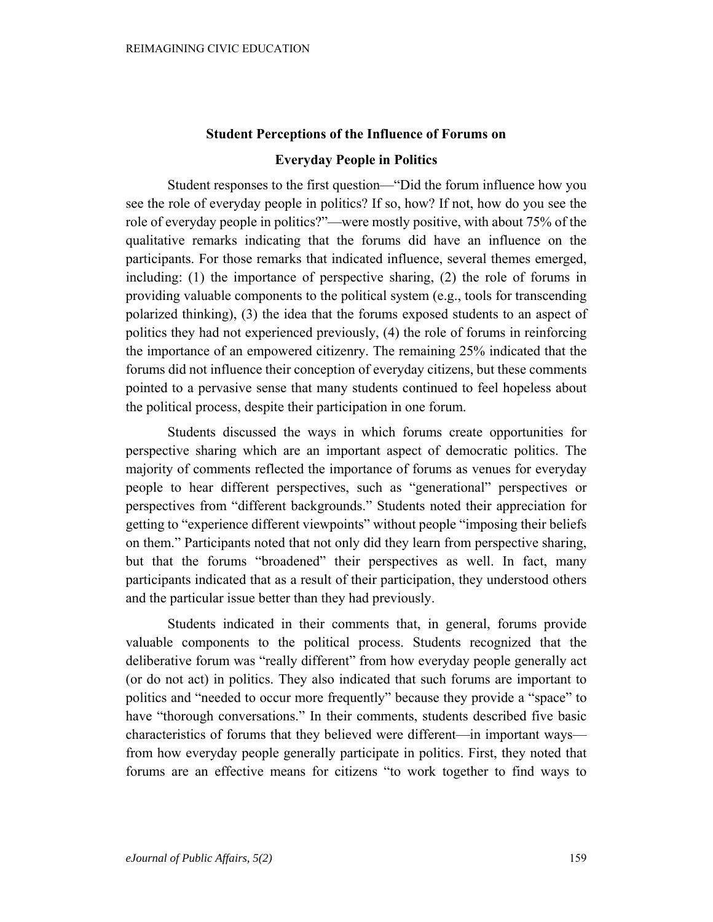# **Student Perceptions of the Influence of Forums on Everyday People in Politics**

Student responses to the first question—"Did the forum influence how you see the role of everyday people in politics? If so, how? If not, how do you see the role of everyday people in politics?"—were mostly positive, with about 75% of the qualitative remarks indicating that the forums did have an influence on the participants. For those remarks that indicated influence, several themes emerged, including: (1) the importance of perspective sharing, (2) the role of forums in providing valuable components to the political system (e.g., tools for transcending polarized thinking), (3) the idea that the forums exposed students to an aspect of politics they had not experienced previously, (4) the role of forums in reinforcing the importance of an empowered citizenry. The remaining 25% indicated that the forums did not influence their conception of everyday citizens, but these comments pointed to a pervasive sense that many students continued to feel hopeless about the political process, despite their participation in one forum.

Students discussed the ways in which forums create opportunities for perspective sharing which are an important aspect of democratic politics. The majority of comments reflected the importance of forums as venues for everyday people to hear different perspectives, such as "generational" perspectives or perspectives from "different backgrounds." Students noted their appreciation for getting to "experience different viewpoints" without people "imposing their beliefs on them." Participants noted that not only did they learn from perspective sharing, but that the forums "broadened" their perspectives as well. In fact, many participants indicated that as a result of their participation, they understood others and the particular issue better than they had previously.

Students indicated in their comments that, in general, forums provide valuable components to the political process. Students recognized that the deliberative forum was "really different" from how everyday people generally act (or do not act) in politics. They also indicated that such forums are important to politics and "needed to occur more frequently" because they provide a "space" to have "thorough conversations." In their comments, students described five basic characteristics of forums that they believed were different—in important ways from how everyday people generally participate in politics. First, they noted that forums are an effective means for citizens "to work together to find ways to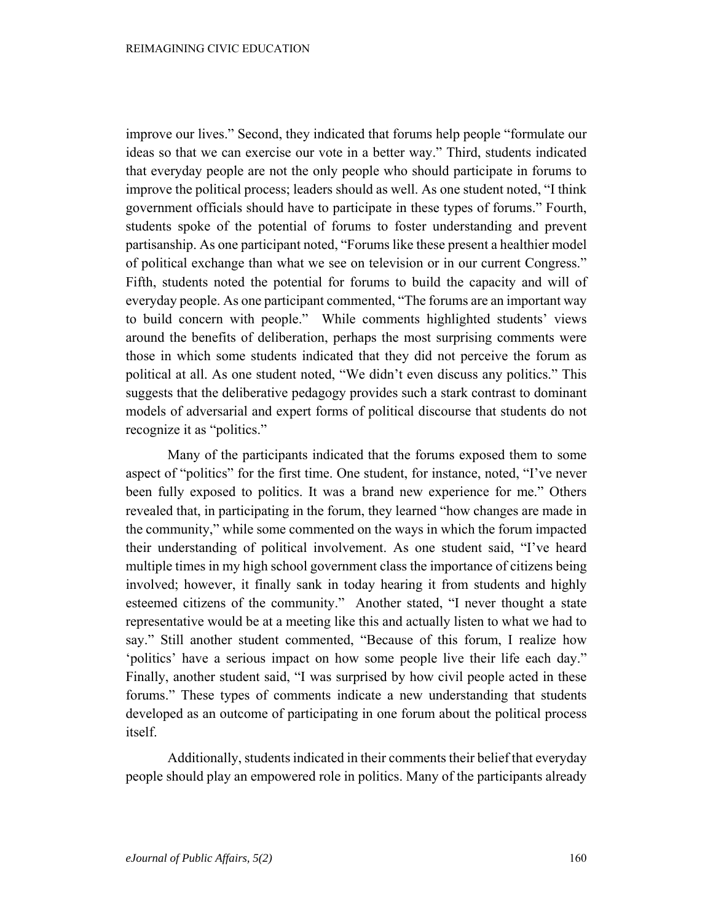improve our lives." Second, they indicated that forums help people "formulate our ideas so that we can exercise our vote in a better way." Third, students indicated that everyday people are not the only people who should participate in forums to improve the political process; leaders should as well. As one student noted, "I think government officials should have to participate in these types of forums." Fourth, students spoke of the potential of forums to foster understanding and prevent partisanship. As one participant noted, "Forums like these present a healthier model of political exchange than what we see on television or in our current Congress." Fifth, students noted the potential for forums to build the capacity and will of everyday people. As one participant commented, "The forums are an important way to build concern with people." While comments highlighted students' views around the benefits of deliberation, perhaps the most surprising comments were those in which some students indicated that they did not perceive the forum as political at all. As one student noted, "We didn't even discuss any politics." This suggests that the deliberative pedagogy provides such a stark contrast to dominant models of adversarial and expert forms of political discourse that students do not recognize it as "politics."

Many of the participants indicated that the forums exposed them to some aspect of "politics" for the first time. One student, for instance, noted, "I've never been fully exposed to politics. It was a brand new experience for me." Others revealed that, in participating in the forum, they learned "how changes are made in the community," while some commented on the ways in which the forum impacted their understanding of political involvement. As one student said, "I've heard multiple times in my high school government class the importance of citizens being involved; however, it finally sank in today hearing it from students and highly esteemed citizens of the community." Another stated, "I never thought a state representative would be at a meeting like this and actually listen to what we had to say." Still another student commented, "Because of this forum, I realize how 'politics' have a serious impact on how some people live their life each day." Finally, another student said, "I was surprised by how civil people acted in these forums." These types of comments indicate a new understanding that students developed as an outcome of participating in one forum about the political process itself.

Additionally, students indicated in their comments their belief that everyday people should play an empowered role in politics. Many of the participants already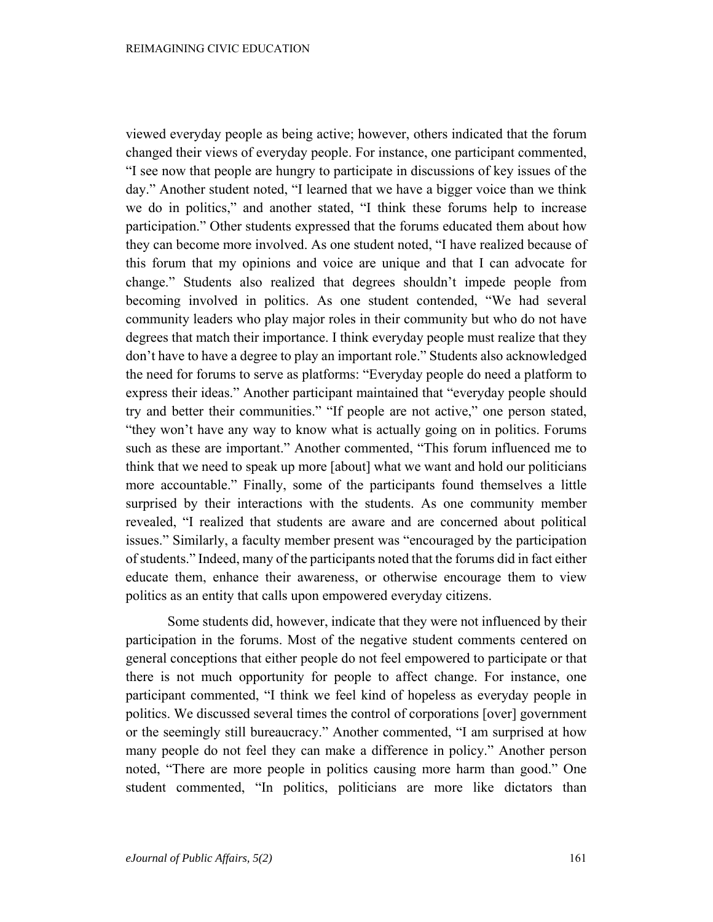viewed everyday people as being active; however, others indicated that the forum changed their views of everyday people. For instance, one participant commented, "I see now that people are hungry to participate in discussions of key issues of the day." Another student noted, "I learned that we have a bigger voice than we think we do in politics," and another stated, "I think these forums help to increase participation." Other students expressed that the forums educated them about how they can become more involved. As one student noted, "I have realized because of this forum that my opinions and voice are unique and that I can advocate for change." Students also realized that degrees shouldn't impede people from becoming involved in politics. As one student contended, "We had several community leaders who play major roles in their community but who do not have degrees that match their importance. I think everyday people must realize that they don't have to have a degree to play an important role." Students also acknowledged the need for forums to serve as platforms: "Everyday people do need a platform to express their ideas." Another participant maintained that "everyday people should try and better their communities." "If people are not active," one person stated, "they won't have any way to know what is actually going on in politics. Forums such as these are important." Another commented, "This forum influenced me to think that we need to speak up more [about] what we want and hold our politicians more accountable." Finally, some of the participants found themselves a little surprised by their interactions with the students. As one community member revealed, "I realized that students are aware and are concerned about political issues." Similarly, a faculty member present was "encouraged by the participation of students." Indeed, many of the participants noted that the forums did in fact either educate them, enhance their awareness, or otherwise encourage them to view politics as an entity that calls upon empowered everyday citizens.

Some students did, however, indicate that they were not influenced by their participation in the forums. Most of the negative student comments centered on general conceptions that either people do not feel empowered to participate or that there is not much opportunity for people to affect change. For instance, one participant commented, "I think we feel kind of hopeless as everyday people in politics. We discussed several times the control of corporations [over] government or the seemingly still bureaucracy." Another commented, "I am surprised at how many people do not feel they can make a difference in policy." Another person noted, "There are more people in politics causing more harm than good." One student commented, "In politics, politicians are more like dictators than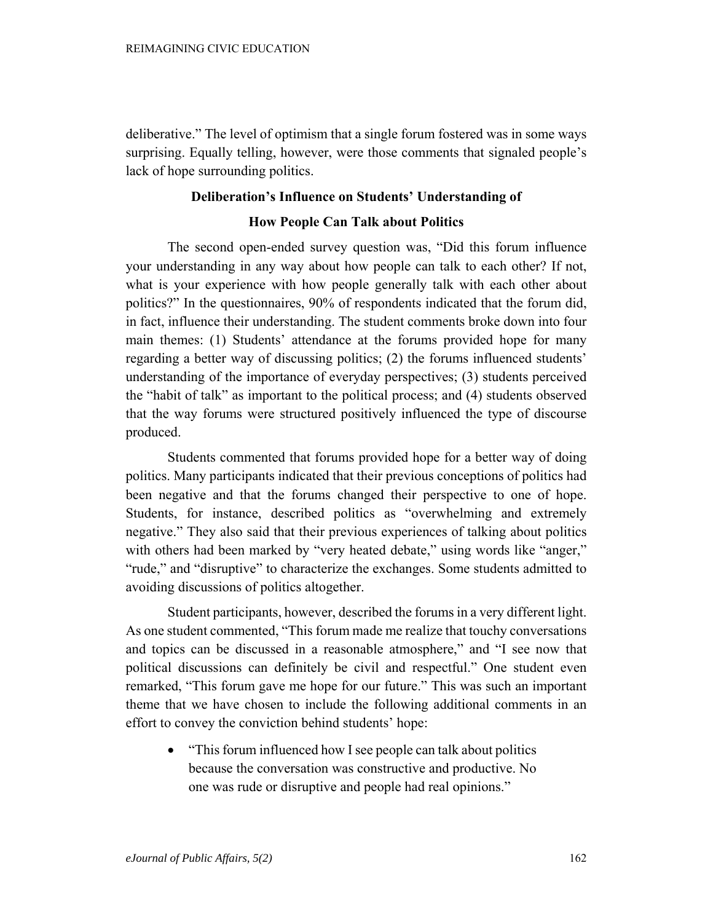deliberative." The level of optimism that a single forum fostered was in some ways surprising. Equally telling, however, were those comments that signaled people's lack of hope surrounding politics.

## **Deliberation's Influence on Students' Understanding of**

#### **How People Can Talk about Politics**

The second open-ended survey question was, "Did this forum influence your understanding in any way about how people can talk to each other? If not, what is your experience with how people generally talk with each other about politics?" In the questionnaires, 90% of respondents indicated that the forum did, in fact, influence their understanding. The student comments broke down into four main themes: (1) Students' attendance at the forums provided hope for many regarding a better way of discussing politics; (2) the forums influenced students' understanding of the importance of everyday perspectives; (3) students perceived the "habit of talk" as important to the political process; and (4) students observed that the way forums were structured positively influenced the type of discourse produced.

Students commented that forums provided hope for a better way of doing politics. Many participants indicated that their previous conceptions of politics had been negative and that the forums changed their perspective to one of hope. Students, for instance, described politics as "overwhelming and extremely negative." They also said that their previous experiences of talking about politics with others had been marked by "very heated debate," using words like "anger," "rude," and "disruptive" to characterize the exchanges. Some students admitted to avoiding discussions of politics altogether.

Student participants, however, described the forums in a very different light. As one student commented, "This forum made me realize that touchy conversations and topics can be discussed in a reasonable atmosphere," and "I see now that political discussions can definitely be civil and respectful." One student even remarked, "This forum gave me hope for our future." This was such an important theme that we have chosen to include the following additional comments in an effort to convey the conviction behind students' hope:

• "This forum influenced how I see people can talk about politics" because the conversation was constructive and productive. No one was rude or disruptive and people had real opinions."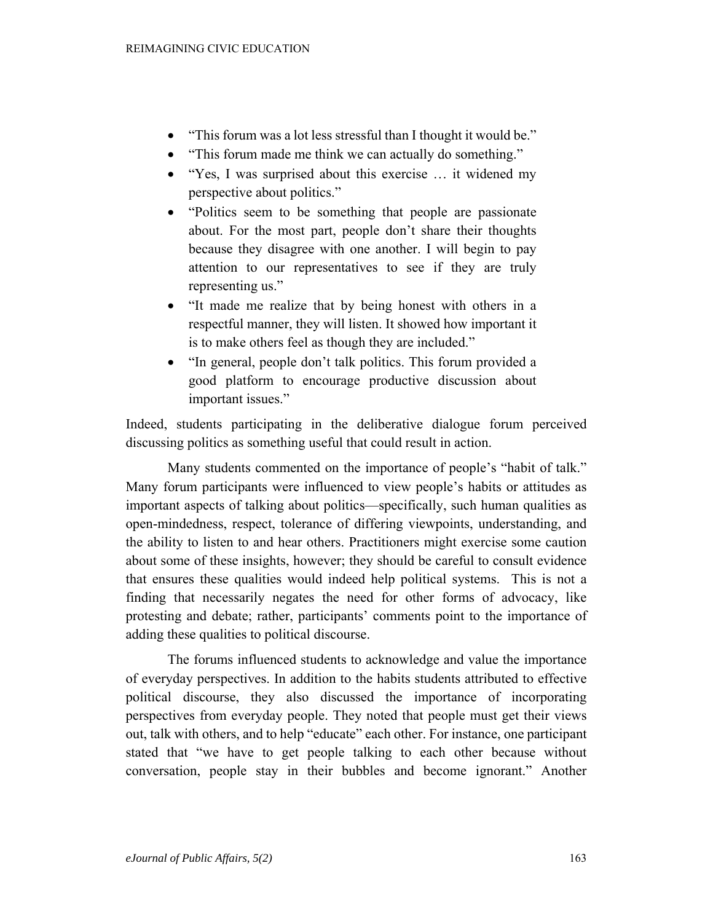- "This forum was a lot less stressful than I thought it would be."
- "This forum made me think we can actually do something."
- "Yes, I was surprised about this exercise … it widened my perspective about politics."
- "Politics seem to be something that people are passionate about. For the most part, people don't share their thoughts because they disagree with one another. I will begin to pay attention to our representatives to see if they are truly representing us."
- "It made me realize that by being honest with others in a respectful manner, they will listen. It showed how important it is to make others feel as though they are included."
- "In general, people don't talk politics. This forum provided a good platform to encourage productive discussion about important issues."

Indeed, students participating in the deliberative dialogue forum perceived discussing politics as something useful that could result in action.

Many students commented on the importance of people's "habit of talk." Many forum participants were influenced to view people's habits or attitudes as important aspects of talking about politics—specifically, such human qualities as open-mindedness, respect, tolerance of differing viewpoints, understanding, and the ability to listen to and hear others. Practitioners might exercise some caution about some of these insights, however; they should be careful to consult evidence that ensures these qualities would indeed help political systems. This is not a finding that necessarily negates the need for other forms of advocacy, like protesting and debate; rather, participants' comments point to the importance of adding these qualities to political discourse.

The forums influenced students to acknowledge and value the importance of everyday perspectives. In addition to the habits students attributed to effective political discourse, they also discussed the importance of incorporating perspectives from everyday people. They noted that people must get their views out, talk with others, and to help "educate" each other. For instance, one participant stated that "we have to get people talking to each other because without conversation, people stay in their bubbles and become ignorant." Another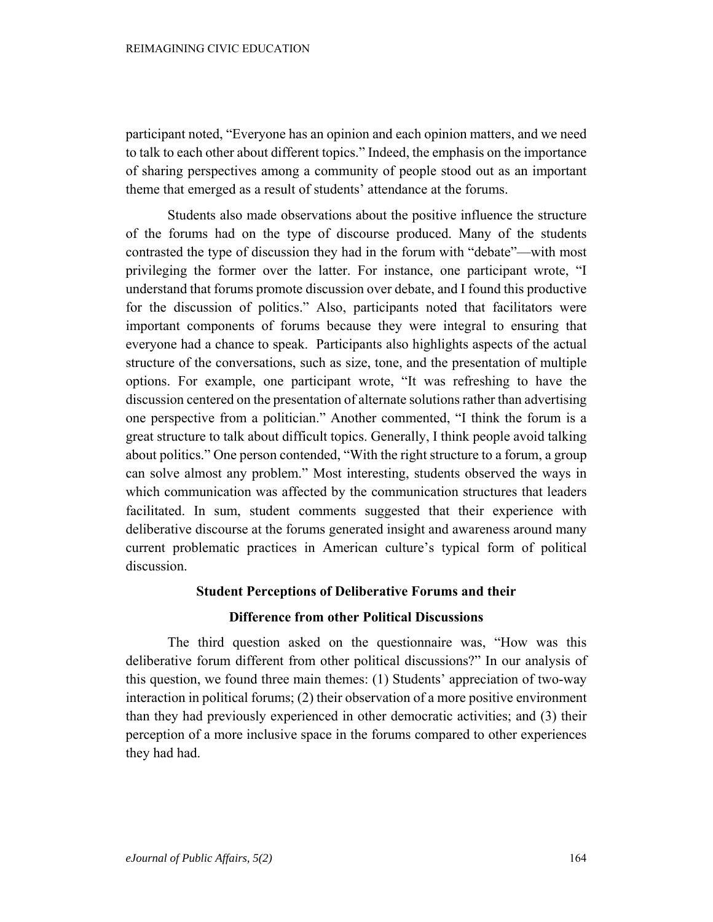participant noted, "Everyone has an opinion and each opinion matters, and we need to talk to each other about different topics." Indeed, the emphasis on the importance of sharing perspectives among a community of people stood out as an important theme that emerged as a result of students' attendance at the forums.

Students also made observations about the positive influence the structure of the forums had on the type of discourse produced. Many of the students contrasted the type of discussion they had in the forum with "debate"—with most privileging the former over the latter. For instance, one participant wrote, "I understand that forums promote discussion over debate, and I found this productive for the discussion of politics." Also, participants noted that facilitators were important components of forums because they were integral to ensuring that everyone had a chance to speak. Participants also highlights aspects of the actual structure of the conversations, such as size, tone, and the presentation of multiple options. For example, one participant wrote, "It was refreshing to have the discussion centered on the presentation of alternate solutions rather than advertising one perspective from a politician." Another commented, "I think the forum is a great structure to talk about difficult topics. Generally, I think people avoid talking about politics." One person contended, "With the right structure to a forum, a group can solve almost any problem." Most interesting, students observed the ways in which communication was affected by the communication structures that leaders facilitated. In sum, student comments suggested that their experience with deliberative discourse at the forums generated insight and awareness around many current problematic practices in American culture's typical form of political discussion.

### **Student Perceptions of Deliberative Forums and their**

#### **Difference from other Political Discussions**

The third question asked on the questionnaire was, "How was this deliberative forum different from other political discussions?" In our analysis of this question, we found three main themes: (1) Students' appreciation of two-way interaction in political forums; (2) their observation of a more positive environment than they had previously experienced in other democratic activities; and (3) their perception of a more inclusive space in the forums compared to other experiences they had had.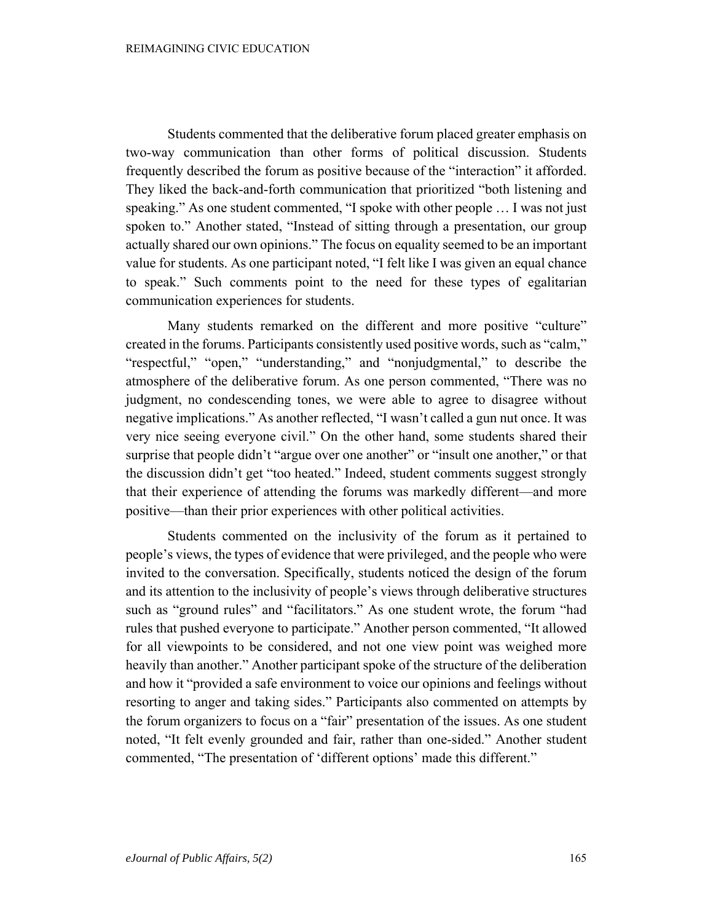Students commented that the deliberative forum placed greater emphasis on two-way communication than other forms of political discussion. Students frequently described the forum as positive because of the "interaction" it afforded. They liked the back-and-forth communication that prioritized "both listening and speaking." As one student commented, "I spoke with other people … I was not just spoken to." Another stated, "Instead of sitting through a presentation, our group actually shared our own opinions." The focus on equality seemed to be an important value for students. As one participant noted, "I felt like I was given an equal chance to speak." Such comments point to the need for these types of egalitarian communication experiences for students.

Many students remarked on the different and more positive "culture" created in the forums. Participants consistently used positive words, such as "calm," "respectful," "open," "understanding," and "nonjudgmental," to describe the atmosphere of the deliberative forum. As one person commented, "There was no judgment, no condescending tones, we were able to agree to disagree without negative implications." As another reflected, "I wasn't called a gun nut once. It was very nice seeing everyone civil." On the other hand, some students shared their surprise that people didn't "argue over one another" or "insult one another," or that the discussion didn't get "too heated." Indeed, student comments suggest strongly that their experience of attending the forums was markedly different—and more positive—than their prior experiences with other political activities.

Students commented on the inclusivity of the forum as it pertained to people's views, the types of evidence that were privileged, and the people who were invited to the conversation. Specifically, students noticed the design of the forum and its attention to the inclusivity of people's views through deliberative structures such as "ground rules" and "facilitators." As one student wrote, the forum "had rules that pushed everyone to participate." Another person commented, "It allowed for all viewpoints to be considered, and not one view point was weighed more heavily than another." Another participant spoke of the structure of the deliberation and how it "provided a safe environment to voice our opinions and feelings without resorting to anger and taking sides." Participants also commented on attempts by the forum organizers to focus on a "fair" presentation of the issues. As one student noted, "It felt evenly grounded and fair, rather than one-sided." Another student commented, "The presentation of 'different options' made this different."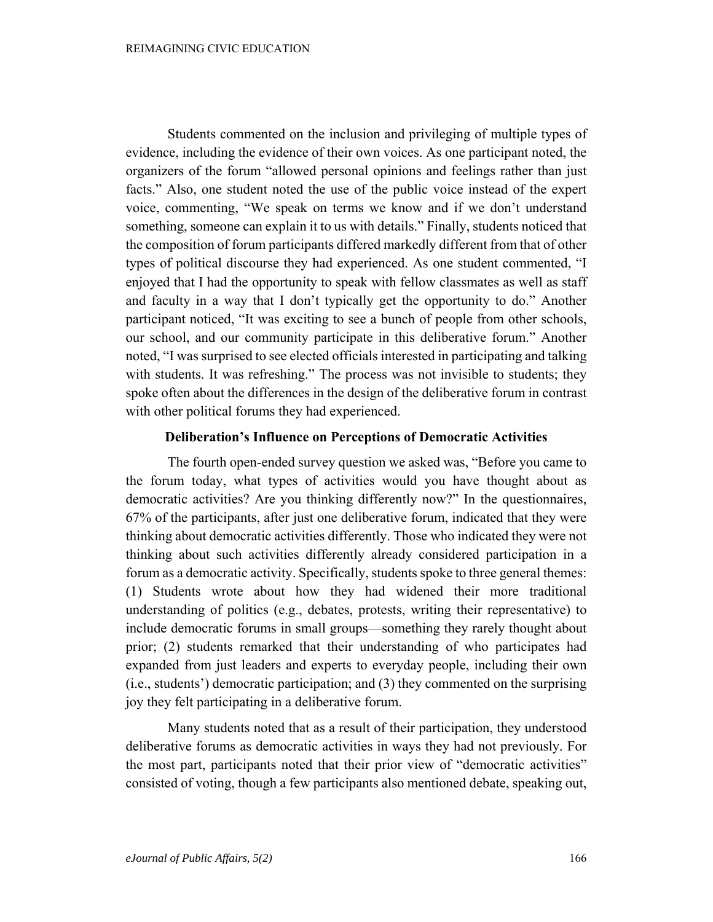Students commented on the inclusion and privileging of multiple types of evidence, including the evidence of their own voices. As one participant noted, the organizers of the forum "allowed personal opinions and feelings rather than just facts." Also, one student noted the use of the public voice instead of the expert voice, commenting, "We speak on terms we know and if we don't understand something, someone can explain it to us with details." Finally, students noticed that the composition of forum participants differed markedly different from that of other types of political discourse they had experienced. As one student commented, "I enjoyed that I had the opportunity to speak with fellow classmates as well as staff and faculty in a way that I don't typically get the opportunity to do." Another participant noticed, "It was exciting to see a bunch of people from other schools, our school, and our community participate in this deliberative forum." Another noted, "I was surprised to see elected officials interested in participating and talking with students. It was refreshing." The process was not invisible to students; they spoke often about the differences in the design of the deliberative forum in contrast with other political forums they had experienced.

## **Deliberation's Influence on Perceptions of Democratic Activities**

The fourth open-ended survey question we asked was, "Before you came to the forum today, what types of activities would you have thought about as democratic activities? Are you thinking differently now?" In the questionnaires, 67% of the participants, after just one deliberative forum, indicated that they were thinking about democratic activities differently. Those who indicated they were not thinking about such activities differently already considered participation in a forum as a democratic activity. Specifically, students spoke to three general themes: (1) Students wrote about how they had widened their more traditional understanding of politics (e.g., debates, protests, writing their representative) to include democratic forums in small groups—something they rarely thought about prior; (2) students remarked that their understanding of who participates had expanded from just leaders and experts to everyday people, including their own (i.e., students') democratic participation; and (3) they commented on the surprising joy they felt participating in a deliberative forum.

Many students noted that as a result of their participation, they understood deliberative forums as democratic activities in ways they had not previously. For the most part, participants noted that their prior view of "democratic activities" consisted of voting, though a few participants also mentioned debate, speaking out,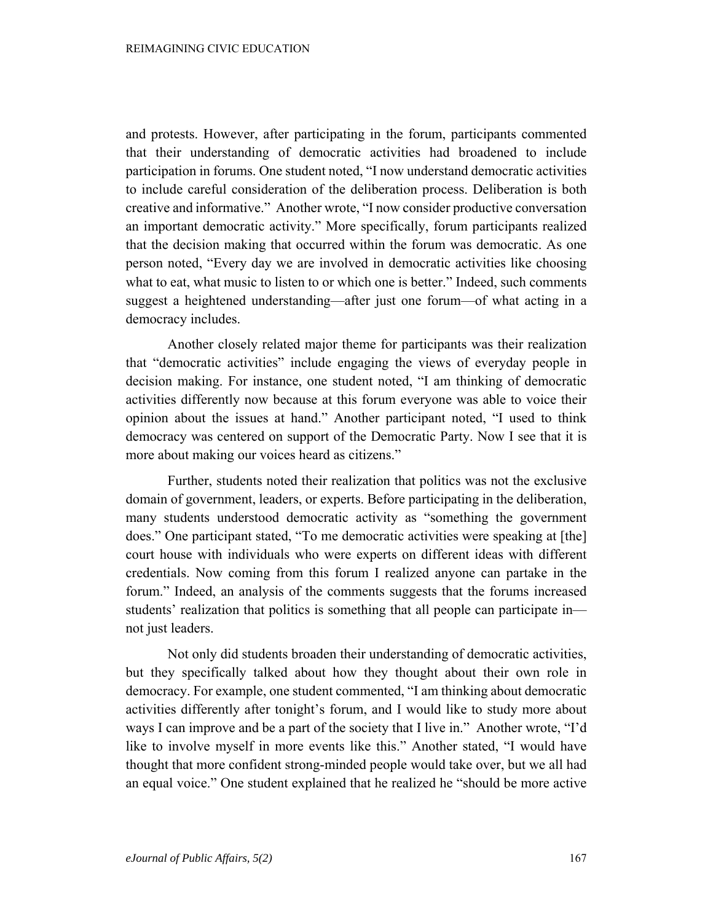and protests. However, after participating in the forum, participants commented that their understanding of democratic activities had broadened to include participation in forums. One student noted, "I now understand democratic activities to include careful consideration of the deliberation process. Deliberation is both creative and informative." Another wrote, "I now consider productive conversation an important democratic activity." More specifically, forum participants realized that the decision making that occurred within the forum was democratic. As one person noted, "Every day we are involved in democratic activities like choosing what to eat, what music to listen to or which one is better." Indeed, such comments suggest a heightened understanding—after just one forum—of what acting in a democracy includes.

Another closely related major theme for participants was their realization that "democratic activities" include engaging the views of everyday people in decision making. For instance, one student noted, "I am thinking of democratic activities differently now because at this forum everyone was able to voice their opinion about the issues at hand." Another participant noted, "I used to think democracy was centered on support of the Democratic Party. Now I see that it is more about making our voices heard as citizens."

Further, students noted their realization that politics was not the exclusive domain of government, leaders, or experts. Before participating in the deliberation, many students understood democratic activity as "something the government does." One participant stated, "To me democratic activities were speaking at [the] court house with individuals who were experts on different ideas with different credentials. Now coming from this forum I realized anyone can partake in the forum." Indeed, an analysis of the comments suggests that the forums increased students' realization that politics is something that all people can participate in not just leaders.

Not only did students broaden their understanding of democratic activities, but they specifically talked about how they thought about their own role in democracy. For example, one student commented, "I am thinking about democratic activities differently after tonight's forum, and I would like to study more about ways I can improve and be a part of the society that I live in." Another wrote, "I'd like to involve myself in more events like this." Another stated, "I would have thought that more confident strong-minded people would take over, but we all had an equal voice." One student explained that he realized he "should be more active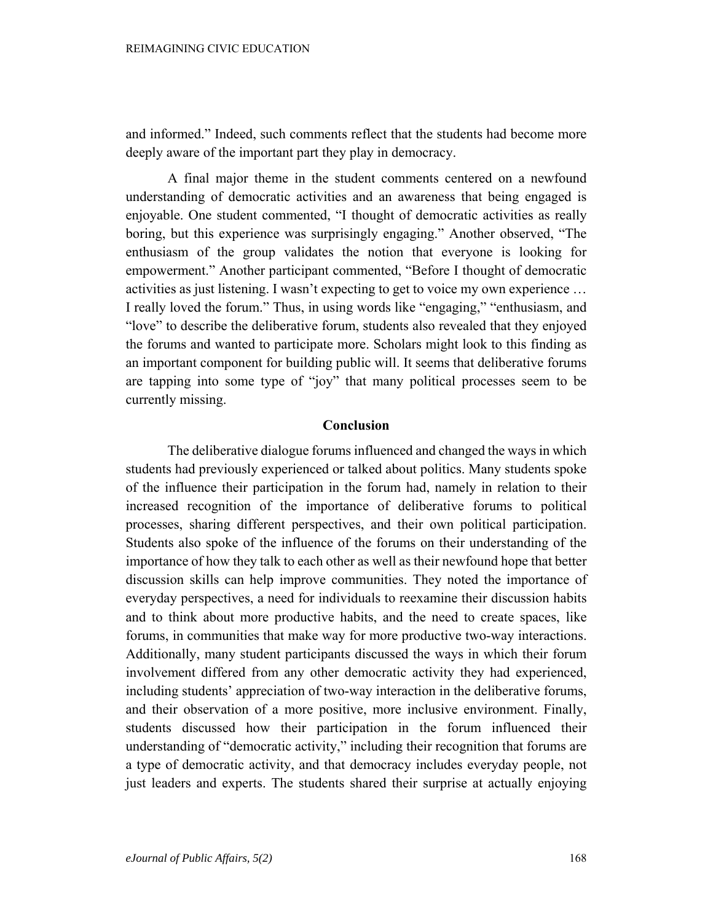and informed." Indeed, such comments reflect that the students had become more deeply aware of the important part they play in democracy.

A final major theme in the student comments centered on a newfound understanding of democratic activities and an awareness that being engaged is enjoyable. One student commented, "I thought of democratic activities as really boring, but this experience was surprisingly engaging." Another observed, "The enthusiasm of the group validates the notion that everyone is looking for empowerment." Another participant commented, "Before I thought of democratic activities as just listening. I wasn't expecting to get to voice my own experience … I really loved the forum." Thus, in using words like "engaging," "enthusiasm, and "love" to describe the deliberative forum, students also revealed that they enjoyed the forums and wanted to participate more. Scholars might look to this finding as an important component for building public will. It seems that deliberative forums are tapping into some type of "joy" that many political processes seem to be currently missing.

#### **Conclusion**

The deliberative dialogue forums influenced and changed the ways in which students had previously experienced or talked about politics. Many students spoke of the influence their participation in the forum had, namely in relation to their increased recognition of the importance of deliberative forums to political processes, sharing different perspectives, and their own political participation. Students also spoke of the influence of the forums on their understanding of the importance of how they talk to each other as well as their newfound hope that better discussion skills can help improve communities. They noted the importance of everyday perspectives, a need for individuals to reexamine their discussion habits and to think about more productive habits, and the need to create spaces, like forums, in communities that make way for more productive two-way interactions. Additionally, many student participants discussed the ways in which their forum involvement differed from any other democratic activity they had experienced, including students' appreciation of two-way interaction in the deliberative forums, and their observation of a more positive, more inclusive environment. Finally, students discussed how their participation in the forum influenced their understanding of "democratic activity," including their recognition that forums are a type of democratic activity, and that democracy includes everyday people, not just leaders and experts. The students shared their surprise at actually enjoying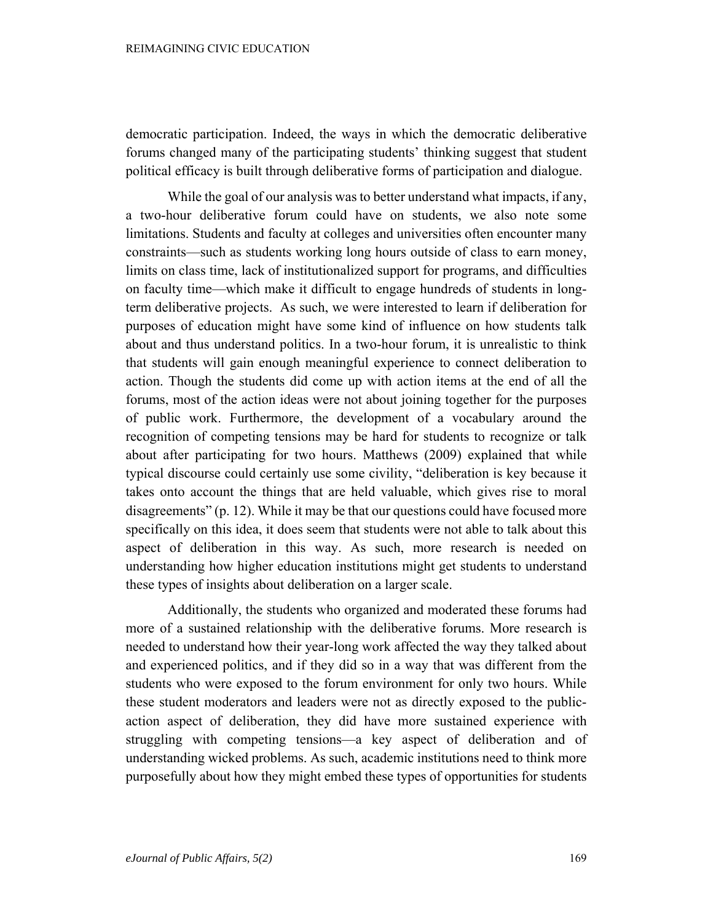democratic participation. Indeed, the ways in which the democratic deliberative forums changed many of the participating students' thinking suggest that student political efficacy is built through deliberative forms of participation and dialogue.

While the goal of our analysis was to better understand what impacts, if any, a two-hour deliberative forum could have on students, we also note some limitations. Students and faculty at colleges and universities often encounter many constraints—such as students working long hours outside of class to earn money, limits on class time, lack of institutionalized support for programs, and difficulties on faculty time—which make it difficult to engage hundreds of students in longterm deliberative projects. As such, we were interested to learn if deliberation for purposes of education might have some kind of influence on how students talk about and thus understand politics. In a two-hour forum, it is unrealistic to think that students will gain enough meaningful experience to connect deliberation to action. Though the students did come up with action items at the end of all the forums, most of the action ideas were not about joining together for the purposes of public work. Furthermore, the development of a vocabulary around the recognition of competing tensions may be hard for students to recognize or talk about after participating for two hours. Matthews (2009) explained that while typical discourse could certainly use some civility, "deliberation is key because it takes onto account the things that are held valuable, which gives rise to moral disagreements" (p. 12). While it may be that our questions could have focused more specifically on this idea, it does seem that students were not able to talk about this aspect of deliberation in this way. As such, more research is needed on understanding how higher education institutions might get students to understand these types of insights about deliberation on a larger scale.

Additionally, the students who organized and moderated these forums had more of a sustained relationship with the deliberative forums. More research is needed to understand how their year-long work affected the way they talked about and experienced politics, and if they did so in a way that was different from the students who were exposed to the forum environment for only two hours. While these student moderators and leaders were not as directly exposed to the publicaction aspect of deliberation, they did have more sustained experience with struggling with competing tensions—a key aspect of deliberation and of understanding wicked problems. As such, academic institutions need to think more purposefully about how they might embed these types of opportunities for students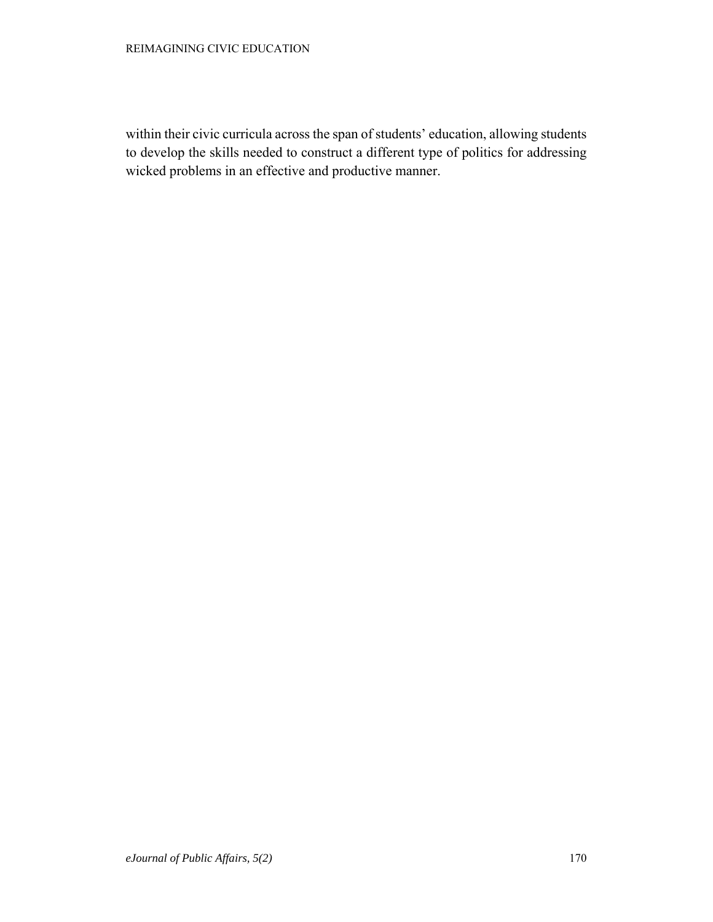#### REIMAGINING CIVIC EDUCATION

within their civic curricula across the span of students' education, allowing students to develop the skills needed to construct a different type of politics for addressing wicked problems in an effective and productive manner.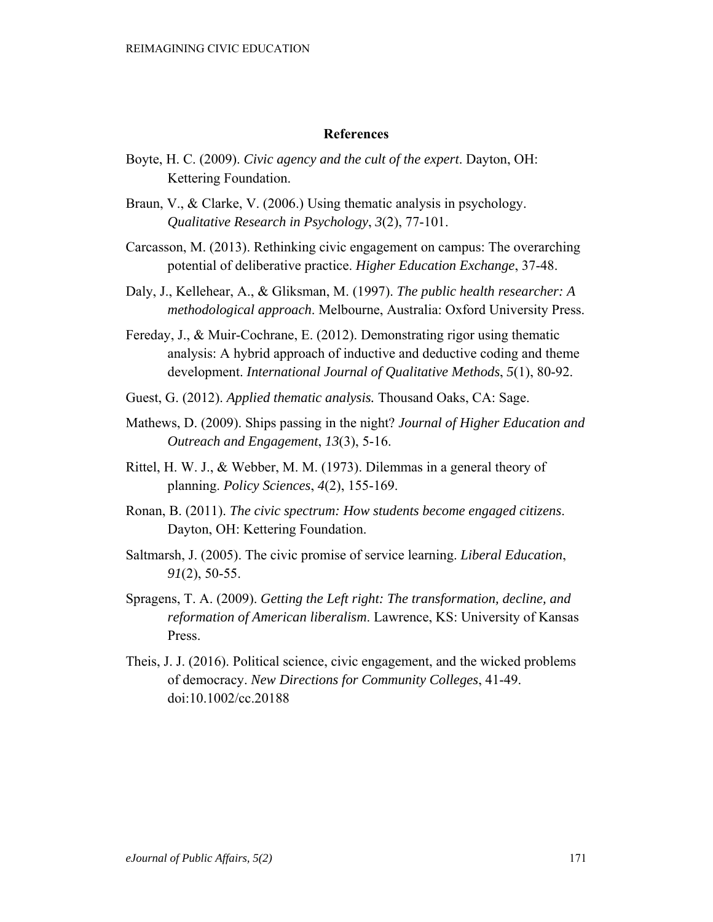#### **References**

- Boyte, H. C. (2009). *Civic agency and the cult of the expert*. Dayton, OH: Kettering Foundation.
- Braun, V., & Clarke, V. (2006.) Using thematic analysis in psychology. *Qualitative Research in Psychology*, *3*(2), 77-101.
- Carcasson, M. (2013). Rethinking civic engagement on campus: The overarching potential of deliberative practice. *Higher Education Exchange*, 37-48.
- Daly, J., Kellehear, A., & Gliksman, M. (1997). *The public health researcher: A methodological approach*. Melbourne, Australia: Oxford University Press.
- Fereday, J., & Muir-Cochrane, E. (2012). Demonstrating rigor using thematic analysis: A hybrid approach of inductive and deductive coding and theme development. *International Journal of Qualitative Methods*, *5*(1), 80-92.
- Guest, G. (2012). *Applied thematic analysis.* Thousand Oaks, CA: Sage.
- Mathews, D. (2009). Ships passing in the night? *Journal of Higher Education and Outreach and Engagement*, *13*(3), 5-16.
- Rittel, H. W. J., & Webber, M. M. (1973). Dilemmas in a general theory of planning. *Policy Sciences*, *4*(2), 155-169.
- Ronan, B. (2011). *The civic spectrum: How students become engaged citizens*. Dayton, OH: Kettering Foundation.
- Saltmarsh, J. (2005). The civic promise of service learning. *Liberal Education*, *91*(2), 50-55.
- Spragens, T. A. (2009). *Getting the Left right: The transformation, decline, and reformation of American liberalism*. Lawrence, KS: University of Kansas Press.
- Theis, J. J. (2016). Political science, civic engagement, and the wicked problems of democracy. *New Directions for Community Colleges*, 41-49. doi:10.1002/cc.20188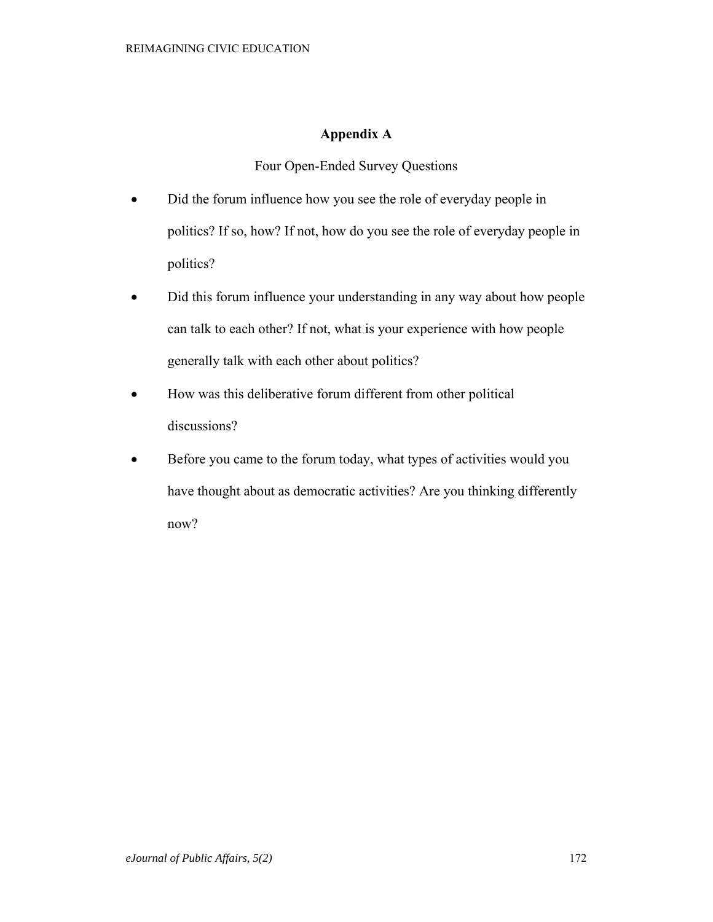## **Appendix A**

Four Open-Ended Survey Questions

- Did the forum influence how you see the role of everyday people in politics? If so, how? If not, how do you see the role of everyday people in politics?
- Did this forum influence your understanding in any way about how people can talk to each other? If not, what is your experience with how people generally talk with each other about politics?
- How was this deliberative forum different from other political discussions?
- Before you came to the forum today, what types of activities would you have thought about as democratic activities? Are you thinking differently now?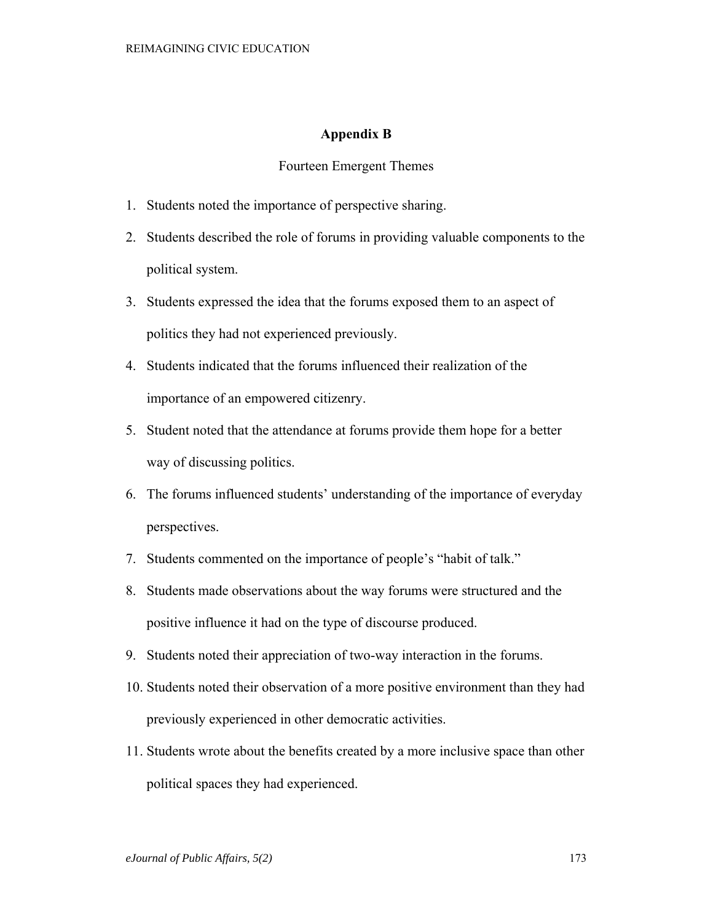## **Appendix B**

## Fourteen Emergent Themes

- 1. Students noted the importance of perspective sharing.
- 2. Students described the role of forums in providing valuable components to the political system.
- 3. Students expressed the idea that the forums exposed them to an aspect of politics they had not experienced previously.
- 4. Students indicated that the forums influenced their realization of the importance of an empowered citizenry.
- 5. Student noted that the attendance at forums provide them hope for a better way of discussing politics.
- 6. The forums influenced students' understanding of the importance of everyday perspectives.
- 7. Students commented on the importance of people's "habit of talk."
- 8. Students made observations about the way forums were structured and the positive influence it had on the type of discourse produced.
- 9. Students noted their appreciation of two-way interaction in the forums.
- 10. Students noted their observation of a more positive environment than they had previously experienced in other democratic activities.
- 11. Students wrote about the benefits created by a more inclusive space than other political spaces they had experienced.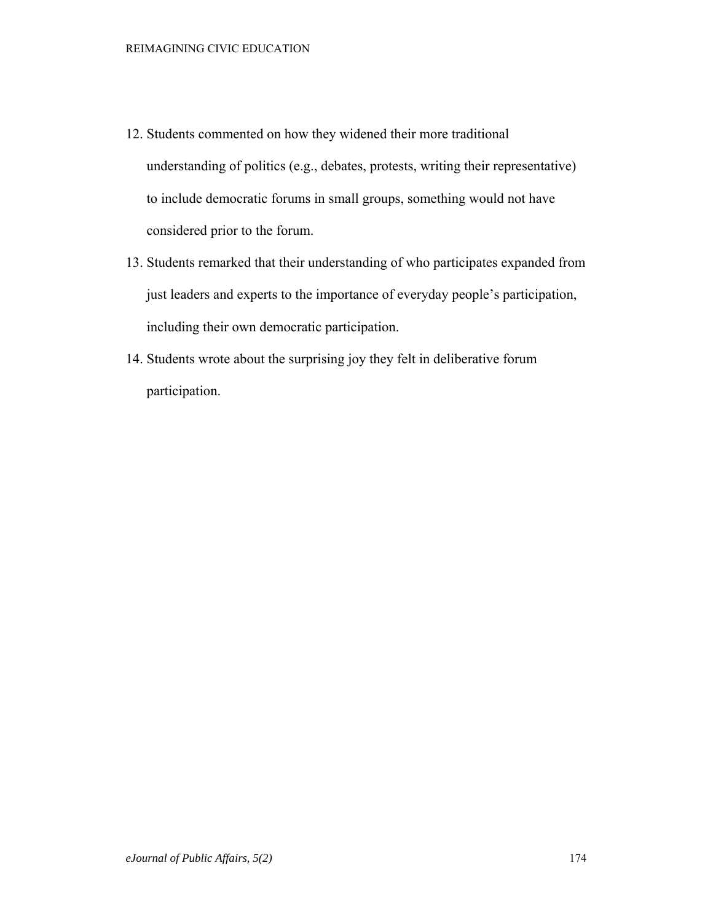- 12. Students commented on how they widened their more traditional understanding of politics (e.g., debates, protests, writing their representative) to include democratic forums in small groups, something would not have considered prior to the forum.
- 13. Students remarked that their understanding of who participates expanded from just leaders and experts to the importance of everyday people's participation, including their own democratic participation.
- 14. Students wrote about the surprising joy they felt in deliberative forum participation.